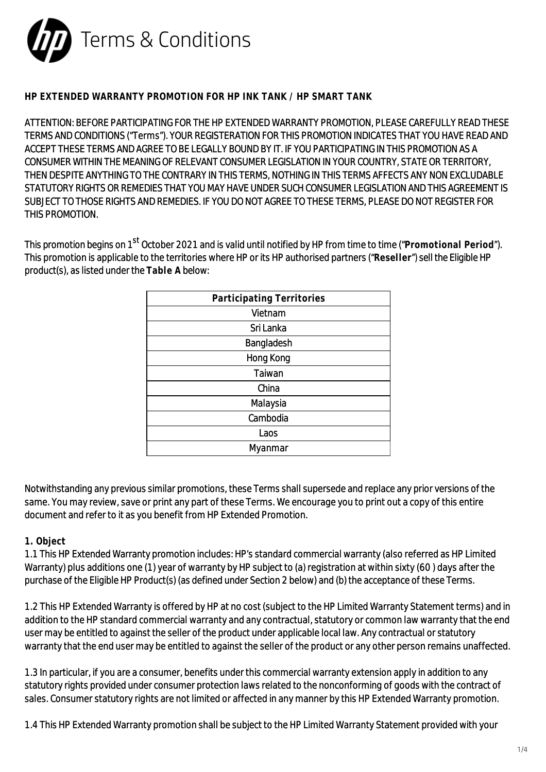

### **HP EXTENDED WARRANTY PROMOTION FOR HP INK TANK / HP SMART TANK**

ATTENTION: BEFORE PARTICIPATING FOR THE HP EXTENDED WARRANTY PROMOTION, PLEASE CAREFULLY READ THESE TERMS AND CONDITIONS ("Terms"). YOUR REGISTERATION FOR THIS PROMOTION INDICATES THAT YOU HAVE READ AND ACCEPT THESE TERMS AND AGREE TO BE LEGALLY BOUND BY IT. IF YOU PARTICIPATING IN THIS PROMOTION AS A CONSUMER WITHIN THE MEANING OF RELEVANT CONSUMER LEGISLATION IN YOUR COUNTRY, STATE OR TERRITORY, THEN DESPITE ANYTHING TO THE CONTRARY IN THIS TERMS, NOTHING IN THIS TERMS AFFECTS ANY NON EXCLUDABLE STATUTORY RIGHTS OR REMEDIES THAT YOU MAY HAVE UNDER SUCH CONSUMER LEGISLATION AND THIS AGREEMENT IS SUBJECT TO THOSE RIGHTS AND REMEDIES. IF YOU DO NOT AGREE TO THESE TERMS, PLEASE DO NOT REGISTER FOR THIS PROMOTION.

This promotion begins on 1st October 2021 and is valid until notified by HP from time to time ("**Promotional Period**"). This promotion is applicable to the territories where HP or its HP authorised partners ("**Reseller**") sell the Eligible HP product(s), as listed under the **Table A** below:

Notwithstanding any previous similar promotions, these Terms shall supersede and replace any prior versions of the same. You may review, save or print any part of these Terms. We encourage you to print out a copy of this entire document and refer to it as you benefit from HP Extended Promotion.

### **1. Object**

1.1 This HP Extended Warranty promotion includes: HP's standard commercial warranty (also referred as HP Limited Warranty) plus additions one (1) year of warranty by HP subject to (a) registration at within sixty (60 ) days after the purchase of the Eligible HP Product(s) (as defined under Section 2 below) and (b) the acceptance of these Terms.

1.2 This HP Extended Warranty is offered by HP at no cost (subject to the HP Limited Warranty Statement terms) and in addition to the HP standard commercial warranty and any contractual, statutory or common law warranty that the end user may be entitled to against the seller of the product under applicable local law. Any contractual or statutory warranty that the end user may be entitled to against the seller of the product or any other person remains unaffected.

1.3 In particular, if you are a consumer, benefits under this commercial warranty extension apply in addition to any statutory rights provided under consumer protection laws related to the nonconforming of goods with the contract of sales. Consumer statutory rights are not limited or affected in any manner by this HP Extended Warranty promotion.

1.4 This HP Extended Warranty promotion shall be subject to the HP Limited Warranty Statement provided with your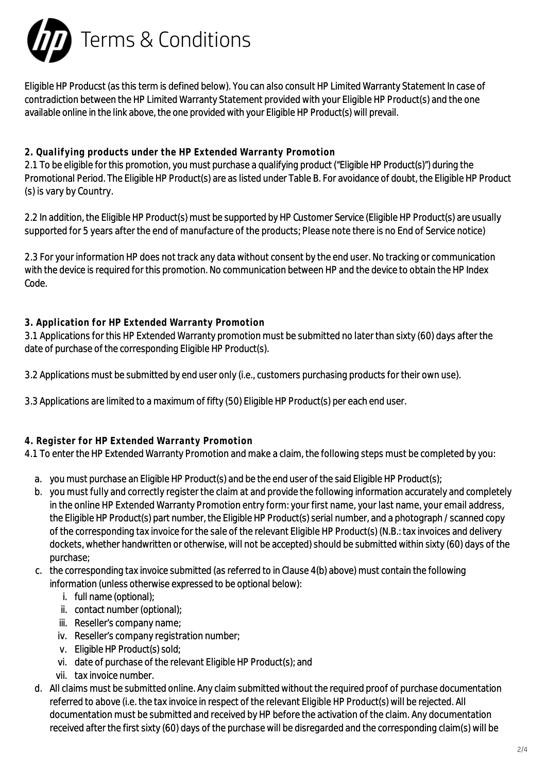

Eligible HP Producst (as this term is defined below). You can also consult HP Limited Warranty Statement In case of contradiction between the HP Limited Warranty Statement provided with your Eligible HP Product(s) and the one available online in the link above, the one provided with your Eligible HP Product(s) will prevail.

# **2. Qualifying products under the HP Extended Warranty Promotion**

2.1 To be eligible for this promotion, you must purchase a qualifying product ("Eligible HP Product(s)") during the Promotional Period. The Eligible HP Product(s) are as listed under Table B. For avoidance of doubt, the Eligible HP Product (s) is vary by Country.

2.2 In addition, the Eligible HP Product(s) must be supported by HP Customer Service (Eligible HP Product(s) are usually supported for 5 years after the end of manufacture of the products; Please note there is no End of Service notice)

2.3 For your information HP does not track any data without consent by the end user. No tracking or communication with the device is required for this promotion. No communication between HP and the device to obtain the HP Index Code.

# **3. Application for HP Extended Warranty Promotion**

3.1 Applications for this HP Extended Warranty promotion must be submitted no later than sixty (60) days after the date of purchase of the corresponding Eligible HP Product(s).

3.2 Applications must be submitted by end user only (i.e., customers purchasing products for their own use).

3.3 Applications are limited to a maximum of fifty (50) Eligible HP Product(s) per each end user.

# **4. Register for HP Extended Warranty Promotion**

4.1 To enter the HP Extended Warranty Promotion and make a claim, the following steps must be completed by you:

- a. you must purchase an Eligible HP Product(s) and be the end user of the said Eligible HP Product(s);
- b. you must fully and correctly register the claim at and provide the following information accurately and completely in the online HP Extended Warranty Promotion entry form: your first name, your last name, your email address, the Eligible HP Product(s) part number, the Eligible HP Product(s) serial number, and a photograph / scanned copy of the corresponding tax invoice for the sale of the relevant Eligible HP Product(s) (N.B.: tax invoices and delivery dockets, whether handwritten or otherwise, will not be accepted) should be submitted within sixty (60) days of the purchase;
- c. the corresponding tax invoice submitted (as referred to in Clause 4(b) above) must contain the following information (unless otherwise expressed to be optional below):
	- i. full name (optional);
	- ii. contact number (optional);
	- iii. Reseller's company name;
	- iv. Reseller's company registration number;
	- v. Eligible HP Product(s) sold;
	- vi. date of purchase of the relevant Eligible HP Product(s); and
	- vii. tax invoice number.
- d. All claims must be submitted online. Any claim submitted without the required proof of purchase documentation referred to above (i.e. the tax invoice in respect of the relevant Eligible HP Product(s) will be rejected. All documentation must be submitted and received by HP before the activation of the claim. Any documentation received after the first sixty (60) days of the purchase will be disregarded and the corresponding claim(s) will be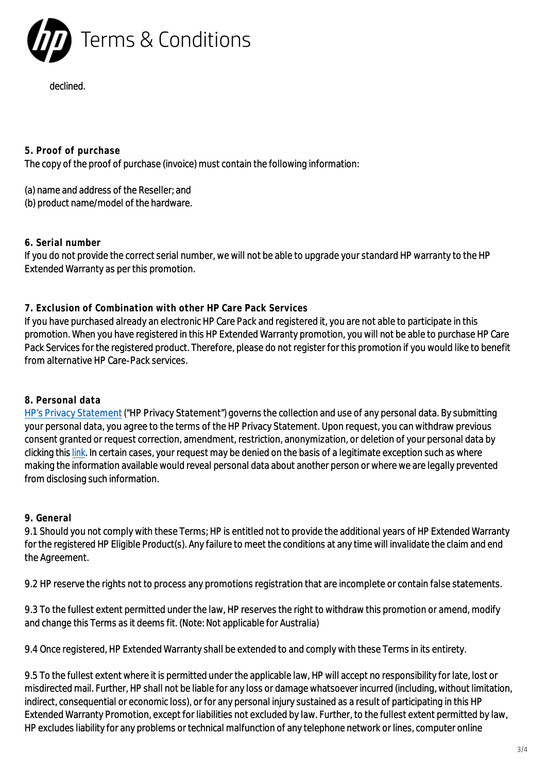

### declined.

**5. Proof of purchase**

The copy of the proof of purchase (invoice) must contain the following information:

(a) name and address of the Reseller; and

(b) product name/model of the hardware.

### **6. Serial number**

If you do not provide the correct serial number, we will not be able to upgrade your standard HP warranty to the HP Extended Warranty as per this promotion.

# **7. Exclusion of Combination with other HP Care Pack Services**

If you have purchased already an electronic HP Care Pack and registered it, you are not able to participate in this promotion. When you have registered in this HP Extended Warranty promotion, you will not be able to purchase HP Care Pack Services for the registered product. Therefore, please do not register for this promotion if you would like to benefit from alternative HP Care-Pack services.

# **8. Personal data**

[HP's Privacy Statement](https://www.hp.com/us-en/privacy/privacy.html?jumpid=in_R11928_/us/en/corp/privacy-central/privacy-statements?jumpid=in_R11928_/us/en/corp/privacy-central/privacy-statements) ("HP Privacy Statement") governs the collection and use of any personal data. By submitting your personal data, you agree to the terms of the HP Privacy Statement. Upon request, you can withdraw previous consent granted or request correction, amendment, restriction, anonymization, or deletion of your personal data by clicking this [link.](https://www.hp.com/us-en/privacy/privacy.html?jumpid=in_R11928_/us/en/corp/privacy-central/privacy-statements?jumpid=in_R11928_/us/en/corp/privacy-central/privacy-statements) In certain cases, your request may be denied on the basis of a legitimate exception such as where making the information available would reveal personal data about another person or where we are legally prevented from disclosing such information.

# **9. General**

9.1 Should you not comply with these Terms; HP is entitled not to provide the additional years of HP Extended Warranty for the registered HP Eligible Product(s). Any failure to meet the conditions at any time will invalidate the claim and end the Agreement.

9.2 HP reserve the rights not to process any promotions registration that are incomplete or contain false statements.

9.3 To the fullest extent permitted under the law, HP reserves the right to withdraw this promotion or amend, modify and change this Terms as it deems fit. (Note: Not applicable for Australia)

9.4 Once registered, HP Extended Warranty shall be extended to and comply with these Terms in its entirety.

9.5 To the fullest extent where it is permitted under the applicable law, HP will accept no responsibility for late, lost or misdirected mail. Further, HP shall not be liable for any loss or damage whatsoever incurred (including, without limitation, indirect, consequential or economic loss), or for any personal injury sustained as a result of participating in this HP Extended Warranty Promotion, except for liabilities not excluded by law. Further, to the fullest extent permitted by law, HP excludes liability for any problems or technical malfunction of any telephone network or lines, computer online